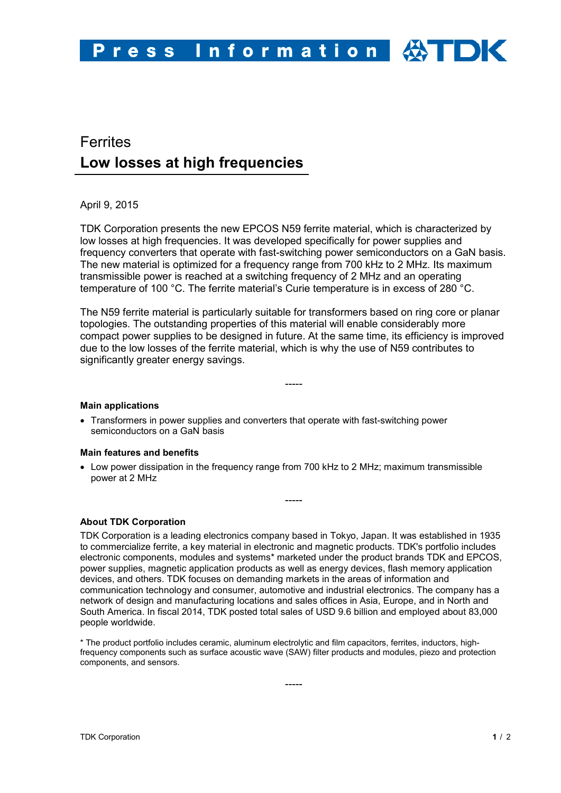# Ferrites **Low losses at high frequencies**

## April 9, 2015

TDK Corporation presents the new EPCOS N59 ferrite material, which is characterized by low losses at high frequencies. It was developed specifically for power supplies and frequency converters that operate with fast-switching power semiconductors on a GaN basis. The new material is optimized for a frequency range from 700 kHz to 2 MHz. Its maximum transmissible power is reached at a switching frequency of 2 MHz and an operating temperature of 100 °C. The ferrite material's Curie temperature is in excess of 280 °C.

The N59 ferrite material is particularly suitable for transformers based on ring core or planar topologies. The outstanding properties of this material will enable considerably more compact power supplies to be designed in future. At the same time, its efficiency is improved due to the low losses of the ferrite material, which is why the use of N59 contributes to significantly greater energy savings.

-----

#### **Main applications**

• Transformers in power supplies and converters that operate with fast-switching power semiconductors on a GaN basis

#### **Main features and benefits**

• Low power dissipation in the frequency range from 700 kHz to 2 MHz; maximum transmissible power at 2 MHz

-----

## **About TDK Corporation**

TDK Corporation is a leading electronics company based in Tokyo, Japan. It was established in 1935 to commercialize ferrite, a key material in electronic and magnetic products. TDK's portfolio includes electronic components, modules and systems\* marketed under the product brands TDK and EPCOS, power supplies, magnetic application products as well as energy devices, flash memory application devices, and others. TDK focuses on demanding markets in the areas of information and communication technology and consumer, automotive and industrial electronics. The company has a network of design and manufacturing locations and sales offices in Asia, Europe, and in North and South America. In fiscal 2014, TDK posted total sales of USD 9.6 billion and employed about 83,000 people worldwide.

\* The product portfolio includes ceramic, aluminum electrolytic and film capacitors, ferrites, inductors, highfrequency components such as surface acoustic wave (SAW) filter products and modules, piezo and protection components, and sensors.

-----